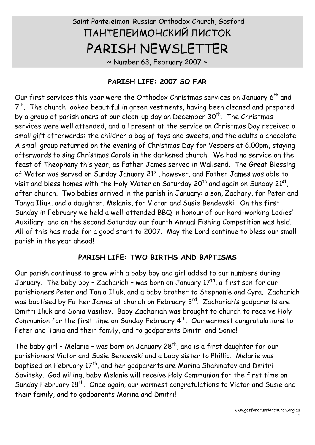# Saint Panteleimon Russian Orthodox Church, Gosford ПАНТЕЛЕИМОНСКИЙ ЛИСТОК PARISH NEWSLETTER

 $\sim$  Number 63, February 2007  $\sim$ 

#### **PARISH LIFE: 2007 SO FAR**

Our first services this year were the Orthodox Christmas services on January  $6<sup>th</sup>$  and  $7<sup>th</sup>$ . The church looked beautiful in green vestments, having been cleaned and prepared by a group of parishioners at our clean-up day on December 30<sup>th</sup>. The Christmas services were well attended, and all present at the service on Christmas Day received a small gift afterwards: the children a bag of toys and sweets, and the adults a chocolate. A small group returned on the evening of Christmas Day for Vespers at 6.00pm, staying afterwards to sing Christmas Carols in the darkened church. We had no service on the feast of Theophany this year, as Father James served in Wallsend. The Great Blessing of Water was served on Sunday January 21<sup>st</sup>, however, and Father James was able to visit and bless homes with the Holy Water on Saturday 20<sup>th</sup> and again on Sunday 21st, , after church. Two babies arrived in the parish in January: a son, Zachary, for Peter and Tanya Iliuk, and a daughter, Melanie, for Victor and Susie Bendevski. On the first Sunday in February we held a well-attended BBQ in honour of our hard-working Ladies' Auxiliary, and on the second Saturday our fourth Annual Fishing Competition was held. All of this has made for a good start to 2007. May the Lord continue to bless our small parish in the year ahead!

# **PARISH LIFE: TWO BIRTHS AND BAPTISMS**

Our parish continues to grow with a baby boy and girl added to our numbers during January. The baby boy - Zachariah - was born on January  $17<sup>th</sup>$ , a first son for our parishioners Peter and Tania Iliuk, and a baby brother to Stephanie and Cyra. Zachariah was baptised by Father James at church on February 3<sup>rd</sup>. Zachariah's godparents are Dmitri Iliuk and Sonia Vasiliev. Baby Zachariah was brought to church to receive Holy Communion for the first time on Sunday February  $4<sup>th</sup>$ . Our warmest congratulations to Peter and Tania and their family, and to godparents Dmitri and Sonia!

The baby girl - Melanie - was born on January  $28<sup>th</sup>$ , and is a first daughter for our parishioners Victor and Susie Bendevski and a baby sister to Phillip. Melanie was baptised on February  $17<sup>th</sup>$ , and her godparents are Marina Shahmatov and Dmitri Savitsky. God willing, baby Melanie will receive Holy Communion for the first time on Sunday February 18<sup>th</sup>. Once again, our warmest congratulations to Victor and Susie and their family, and to godparents Marina and Dmitri!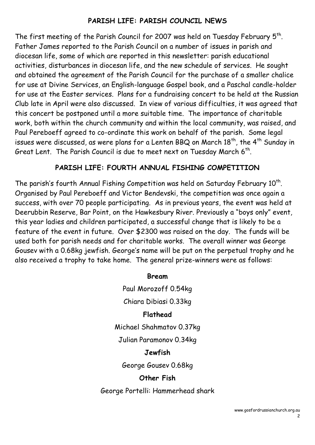# **PARISH LIFE: PARISH COUNCIL NEWS**

The first meeting of the Parish Council for 2007 was held on Tuesday February  $5<sup>th</sup>$ . Father James reported to the Parish Council on a number of issues in parish and diocesan life, some of which are reported in this newsletter: parish educational activities, disturbances in diocesan life, and the new schedule of services. He sought and obtained the agreement of the Parish Council for the purchase of a smaller chalice for use at Divine Services, an English-language Gospel book, and a Paschal candle-holder for use at the Easter services. Plans for a fundraising concert to be held at the Russian Club late in April were also discussed. In view of various difficulties, it was agreed that this concert be postponed until a more suitable time. The importance of charitable work, both within the church community and within the local community, was raised, and Paul Pereboeff agreed to co-ordinate this work on behalf of the parish. Some legal issues were discussed, as were plans for a Lenten BBQ on March  $18<sup>th</sup>$ , the  $4<sup>th</sup>$  Sunday in Great Lent. The Parish Council is due to meet next on Tuesday March 6<sup>th</sup>.

#### **PARISH LIFE: FOURTH ANNUAL FISHING COMPETITION**

The parish's fourth Annual Fishing Competition was held on Saturday February 10<sup>th</sup>. Organised by Paul Pereboeff and Victor Bendevski, the competition was once again a success, with over 70 people participating. As in previous years, the event was held at Deerubbin Reserve, Bar Point, on the Hawkesbury River. Previously a "boys only" event, this year ladies and children participated, a successful change that is likely to be a feature of the event in future. Over \$2300 was raised on the day. The funds will be used both for parish needs and for charitable works. The overall winner was George Gousev with a 0.68kg jewfish. George's name will be put on the perpetual trophy and he also received a trophy to take home. The general prize-winners were as follows:

**Bream**

Paul Morozoff 0.54kg

Chiara Dibiasi 0.33kg

#### **Flathead**

Michael Shahmatov 0.37kg

Julian Paramonov 0.34kg

#### **Jewfish**

George Gousev 0.68kg

#### **Other Fish**

George Portelli: Hammerhead shark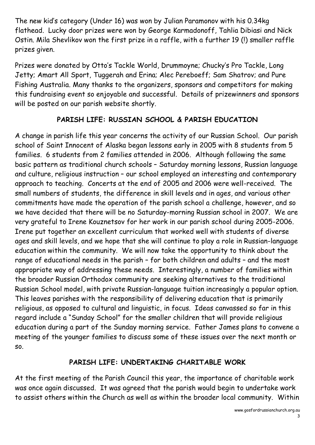The new kid's category (Under 16) was won by Julian Paramonov with his 0.34kg flathead. Lucky door prizes were won by George Karmadonoff, Tahlia Dibiasi and Nick Ostin. Mila Shevlikov won the first prize in a raffle, with a further 19 (!) smaller raffle prizes given.

Prizes were donated by Otto's Tackle World, Drummoyne; Chucky's Pro Tackle, Long Jetty; Amart All Sport, Tuggerah and Erina; Alec Pereboeff; Sam Shatrov; and Pure Fishing Australia. Many thanks to the organizers, sponsors and competitors for making this fundraising event so enjoyable and successful. Details of prizewinners and sponsors will be posted on our parish website shortly.

# **PARISH LIFE: RUSSIAN SCHOOL & PARISH EDUCATION**

A change in parish life this year concerns the activity of our Russian School. Our parish school of Saint Innocent of Alaska began lessons early in 2005 with 8 students from 5 families. 6 students from 2 families attended in 2006. Although following the same basic pattern as traditional church schools – Saturday morning lessons, Russian language and culture, religious instruction – our school employed an interesting and contemporary approach to teaching. Concerts at the end of 2005 and 2006 were well-received. The small numbers of students, the difference in skill levels and in ages, and various other commitments have made the operation of the parish school a challenge, however, and so we have decided that there will be no Saturday-morning Russian school in 2007. We are very grateful to Irene Kouznetsov for her work in our parish school during 2005-2006. Irene put together an excellent curriculum that worked well with students of diverse ages and skill levels, and we hope that she will continue to play a role in Russian-language education within the community. We will now take the opportunity to think about the range of educational needs in the parish – for both children and adults – and the most appropriate way of addressing these needs. Interestingly, a number of families within the broader Russian Orthodox community are seeking alternatives to the traditional Russian School model, with private Russian-language tuition increasingly a popular option. This leaves parishes with the responsibility of delivering education that is primarily religious, as opposed to cultural and linguistic, in focus. Ideas canvassed so far in this regard include a "Sunday School" for the smaller children that will provide religious education during a part of the Sunday morning service. Father James plans to convene a meeting of the younger families to discuss some of these issues over the next month or so.

#### **PARISH LIFE: UNDERTAKING CHARITABLE WORK**

At the first meeting of the Parish Council this year, the importance of charitable work was once again discussed. It was agreed that the parish would begin to undertake work to assist others within the Church as well as within the broader local community. Within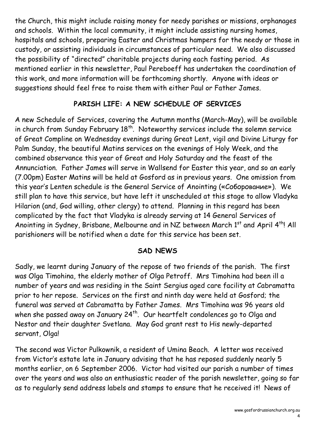the Church, this might include raising money for needy parishes or missions, orphanages and schools. Within the local community, it might include assisting nursing homes, hospitals and schools, preparing Easter and Christmas hampers for the needy or those in custody, or assisting individuals in circumstances of particular need. We also discussed the possibility of "directed" charitable projects during each fasting period. As mentioned earlier in this newsletter, Paul Pereboeff has undertaken the coordination of this work, and more information will be forthcoming shortly. Anyone with ideas or suggestions should feel free to raise them with either Paul or Father James.

# **PARISH LIFE: A NEW SCHEDULE OF SERVICES**

A new Schedule of Services, covering the Autumn months (March-May), will be available in church from Sunday February  $18^{th}$ . Noteworthy services include the solemn service of Great Compline on Wednesday evenings during Great Lent, vigil and Divine Liturgy for Palm Sunday, the beautiful Matins services on the evenings of Holy Week, and the combined observance this year of Great and Holy Saturday and the feast of the Annunciation. Father James will serve in Wallsend for Easter this year, and so an early (7.00pm) Easter Matins will be held at Gosford as in previous years. One omission from this year's Lenten schedule is the General Service of Anointing («Соборование»). We still plan to have this service, but have left it unscheduled at this stage to allow Vladyka Hilarion (and, God willing, other clergy) to attend. Planning in this regard has been complicated by the fact that Vladyka is already serving at 14 General Services of Anointing in Sydney, Brisbane, Melbourne and in NZ between March 1st and April 4th! All parishioners will be notified when a date for this service has been set.

#### **SAD NEWS**

Sadly, we learnt during January of the repose of two friends of the parish. The first was Olga Timohina, the elderly mother of Olga Petroff. Mrs Timohina had been ill a number of years and was residing in the Saint Sergius aged care facility at Cabramatta prior to her repose. Services on the first and ninth day were held at Gosford; the funeral was served at Cabramatta by Father James. Mrs Timohina was 96 years old when she passed away on January  $24<sup>th</sup>$ . Our heartfelt condolences go to Olga and Nestor and their daughter Svetlana. May God grant rest to His newly-departed servant, Olga!

The second was Victor Pulkownik, a resident of Umina Beach. A letter was received from Victor's estate late in January advising that he has reposed suddenly nearly 5 months earlier, on 6 September 2006. Victor had visited our parish a number of times over the years and was also an enthusiastic reader of the parish newsletter, going so far as to regularly send address labels and stamps to ensure that he received it! News of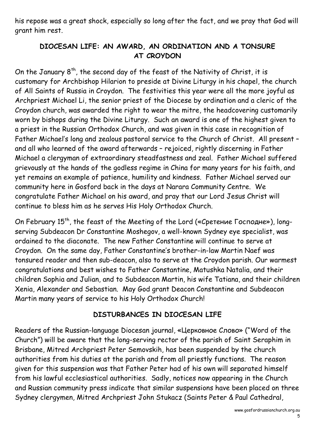his repose was a great shock, especially so long after the fact, and we pray that God will grant him rest.

### **DIOCESAN LIFE: AN AWARD, AN ORDINATION AND A TONSURE AT CROYDON**

On the January  $8<sup>th</sup>$ , the second day of the feast of the Nativity of Christ, it is customary for Archbishop Hilarion to preside at Divine Liturgy in his chapel, the church of All Saints of Russia in Croydon. The festivities this year were all the more joyful as Archpriest Michael Li, the senior priest of the Diocese by ordination and a cleric of the Croydon church, was awarded the right to wear the mitre, the headcovering customarily worn by bishops during the Divine Liturgy. Such an award is one of the highest given to a priest in the Russian Orthodox Church, and was given in this case in recognition of Father Michael's long and zealous pastoral service to the Church of Christ. All present – and all who learned of the award afterwards – rejoiced, rightly discerning in Father Michael a clergyman of extraordinary steadfastness and zeal. Father Michael suffered grievously at the hands of the godless regime in China for many years for his faith, and yet remains an example of patience, humility and kindness. Father Michael served our community here in Gosford back in the days at Narara Community Centre. We congratulate Father Michael on his award, and pray that our Lord Jesus Christ will continue to bless him as he serves His Holy Orthodox Church.

On February  $15<sup>th</sup>$ , the feast of the Meeting of the Lord («Сретение Господне»), longserving Subdeacon Dr Constantine Moshegov, a well-known Sydney eye specialist, was ordained to the diaconate. The new Father Constantine will continue to serve at Croydon. On the same day, Father Constantine's brother-in-law Martin Naef was tonsured reader and then sub-deacon, also to serve at the Croydon parish. Our warmest congratulations and best wishes to Father Constantine, Matushka Natalia, and their children Sophia and Julian, and to Subdeacon Martin, his wife Tatiana, and their children Xenia, Alexander and Sebastian. May God grant Deacon Constantine and Subdeacon Martin many years of service to his Holy Orthodox Church!

#### **DISTURBANCES IN DIOCESAN LIFE**

Readers of the Russian-language Diocesan journal, «Церковное Слово» ("Word of the Church") will be aware that the long-serving rector of the parish of Saint Seraphim in Brisbane, Mitred Archpriest Peter Semovskih, has been suspended by the church authorities from his duties at the parish and from all priestly functions. The reason given for this suspension was that Father Peter had of his own will separated himself from his lawful ecclesiastical authorities. Sadly, notices now appearing in the Church and Russian community press indicate that similar suspensions have been placed on three Sydney clergymen, Mitred Archpriest John Stukacz (Saints Peter & Paul Cathedral,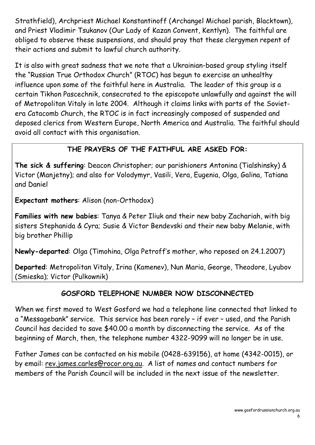Strathfield), Archpriest Michael Konstantinoff (Archangel Michael parish, Blacktown), and Priest Vladimir Tsukanov (Our Lady of Kazan Convent, Kentlyn). The faithful are obliged to observe these suspensions, and should pray that these clergymen repent of their actions and submit to lawful church authority.

It is also with great sadness that we note that a Ukrainian-based group styling itself the "Russian True Orthodox Church" (RTOC) has begun to exercise an unhealthy influence upon some of the faithful here in Australia. The leader of this group is a certain Tikhon Pascechnik, consecrated to the episcopate unlawfully and against the will of Metropolitan Vitaly in late 2004. Although it claims links with parts of the Soviet era Catacomb Church, the RTOC is in fact increasingly composed of suspended and deposed clerics from Western Europe, North America and Australia. The faithful should avoid all contact with this organisation.

# **THE PRAYERS OF THE FAITHFUL ARE ASKED FOR:**

**The sick & suffering**: Deacon Christopher; our parishioners Antonina (Tialshinsky) & Victor (Manjetny); and also for Volodymyr, Vasili, Vera, Eugenia, Olga, Galina, Tatiana and Daniel

**Expectant mothers**: Alison (non-Orthodox)

**Families with new babies**: Tanya & Peter Iliuk and their new baby Zachariah, with big sisters Stephanida & Cyra; Susie & Victor Bendevski and their new baby Melanie, with big brother Phillip

**Newly-departed**: Olga (Timohina, Olga Petroff's mother, who reposed on 24.1.2007)

**Departed**: Metropolitan Vitaly, Irina (Kamenev), Nun Maria, George, Theodore, Lyubov (Smieska); Victor (Pulkownik)

# **GOSFORD TELEPHONE NUMBER NOW DISCONNECTED**

When we first moved to West Gosford we had a telephone line connected that linked to a "Messagebank" service. This service has been rarely – if ever – used, and the Parish Council has decided to save \$40.00 a month by disconnecting the service. As of the beginning of March, then, the telephone number 4322-9099 will no longer be in use.

Father James can be contacted on his mobile (0428-639156), at home (4342-0015), or by email: rev.james.carles@rocor.org.au. A list of names and contact numbers for members of the Parish Council will be included in the next issue of the newsletter.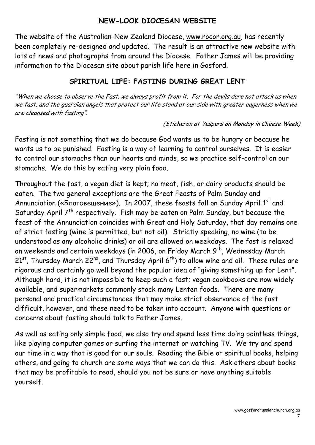#### **NEW-LOOK DIOCESAN WEBSITE**

The website of the Australian-New Zealand Diocese, www.rocor.org.au, has recently been completely re-designed and updated. The result is an attractive new website with lots of news and photographs from around the Diocese. Father James will be providing information to the Diocesan site about parish life here in Gosford.

#### **SPIRITUAL LIFE: FASTING DURING GREAT LENT**

"When we choose to observe the Fast, we always profit from it. For the devils dare not attack us when we fast, and the guardian angels that protect our life stand at our side with greater eagerness when we are cleansed with fasting".

#### (Sticheron at Vespers on Monday in Cheese Week)

Fasting is not something that we do because God wants us to be hungry or because he wants us to be punished. Fasting is a way of learning to control ourselves. It is easier to control our stomachs than our hearts and minds, so we practice self-control on our stomachs. We do this by eating very plain food.

Throughout the fast, a vegan diet is kept; no meat, fish, or dairy products should be eaten. The two general exceptions are the Great Feasts of Palm Sunday and Annunciation («Благовещение»). In 2007, these feasts fall on Sunday April 1<sup>st</sup> and Saturday April 7<sup>th</sup> respectively. Fish may be eaten on Palm Sunday, but because the feast of the Annunciation coincides with Great and Holy Saturday, that day remains one of strict fasting (wine is permitted, but not oil). Strictly speaking, no wine (to be understood as any alcoholic drinks) or oil are allowed on weekdays. The fast is relaxed on weekends and certain weekdays (in 2006, on Friday March 9<sup>th</sup>, Wednesday March 21<sup>st</sup>, Thursday March 22<sup>nd</sup>, and Thursday April 6<sup>th</sup>) to allow wine and oil. These rules are rigorous and certainly go well beyond the popular idea of "giving something up for Lent". Although hard, it is not impossible to keep such a fast; vegan cookbooks are now widely available, and supermarkets commonly stock many Lenten foods. There are many personal and practical circumstances that may make strict observance of the fast difficult, however, and these need to be taken into account. Anyone with questions or concerns about fasting should talk to Father James.

As well as eating only simple food, we also try and spend less time doing pointless things, like playing computer games or surfing the internet or watching TV. We try and spend our time in a way that is good for our souls. Reading the Bible or spiritual books, helping others, and going to church are some ways that we can do this. Ask others about books that may be profitable to read, should you not be sure or have anything suitable yourself.